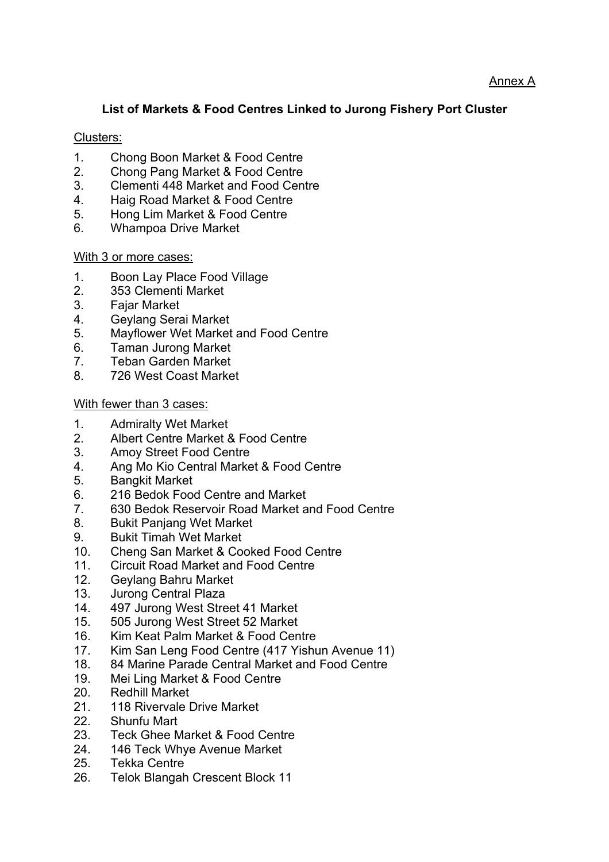## **List of Markets & Food Centres Linked to Jurong Fishery Port Cluster**

## Clusters:

- 1. Chong Boon Market & Food Centre
- 2. Chong Pang Market & Food Centre
- 3. Clementi 448 Market and Food Centre
- 4. Haig Road Market & Food Centre
- 5. Hong Lim Market & Food Centre
- 6. Whampoa Drive Market

## With 3 or more cases:

- 1. Boon Lay Place Food Village
- 2. 353 Clementi Market
- 3. Fajar Market
- 4. Geylang Serai Market
- 5. Mayflower Wet Market and Food Centre
- 6. Taman Jurong Market
- 7. Teban Garden Market
- 8. 726 West Coast Market

## With fewer than 3 cases:

- 1. Admiralty Wet Market
- 2. Albert Centre Market & Food Centre
- 3. Amoy Street Food Centre
- 4. Ang Mo Kio Central Market & Food Centre
- 5. Bangkit Market
- 6. 216 Bedok Food Centre and Market
- 7. 630 Bedok Reservoir Road Market and Food Centre
- 8. Bukit Panjang Wet Market
- 9. Bukit Timah Wet Market
- 10. Cheng San Market & Cooked Food Centre
- 11. Circuit Road Market and Food Centre
- 12. Geylang Bahru Market
- 13. Jurong Central Plaza
- 14. 497 Jurong West Street 41 Market
- 15. 505 Jurong West Street 52 Market
- 16. Kim Keat Palm Market & Food Centre
- 17. Kim San Leng Food Centre (417 Yishun Avenue 11)
- 18. 84 Marine Parade Central Market and Food Centre
- 19. Mei Ling Market & Food Centre
- 20. Redhill Market
- 21. 118 Rivervale Drive Market
- 22. Shunfu Mart
- 23. Teck Ghee Market & Food Centre
- 24. 146 Teck Whye Avenue Market
- 25. Tekka Centre
- 26. Telok Blangah Crescent Block 11